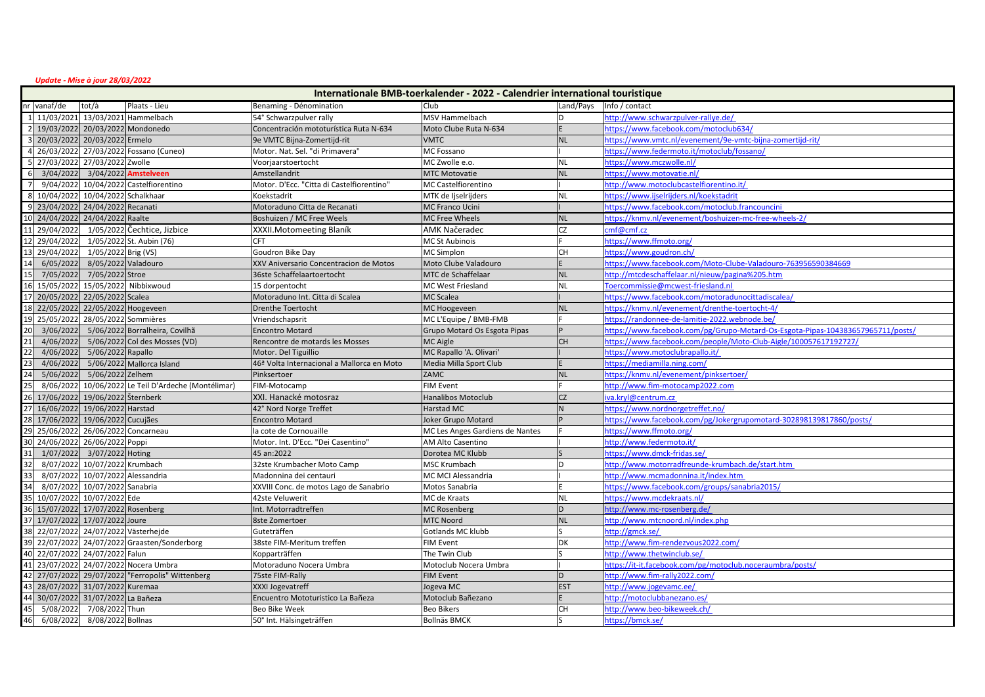## *Update ‐ Mise à jour 28/03/2022*

| Internationale BMB-toerkalender - 2022 - Calendrier international touristique |                                            |                                 |              |                                                                                 |  |  |  |  |  |
|-------------------------------------------------------------------------------|--------------------------------------------|---------------------------------|--------------|---------------------------------------------------------------------------------|--|--|--|--|--|
| nr vanaf/de<br>tot/à<br>Plaats - Lieu                                         | Benaming - Dénomination                    | Club                            | Land/Pays    | Info / contact                                                                  |  |  |  |  |  |
| 11/03/2021 13/03/2021 Hammelbach<br>$\mathbf{1}$                              | 54° Schwarzpulver rally                    | <b>MSV Hammelbach</b>           |              | http://www.schwarzpulver-rallye.de/                                             |  |  |  |  |  |
| 19/03/2022 20/03/2022 Mondonedo                                               | Concentración mototurística Ruta N-634     | Moto Clube Ruta N-634           |              | https://www.facebook.com/motoclub634/                                           |  |  |  |  |  |
| 20/03/2022 20/03/2022 Ermelo                                                  | 9e VMTC Bijna-Zomertijd-rit                | <b>VMTC</b>                     | <b>NL</b>    | /1ttps://www.ymtc.nl/evenement/9e-ymtc-biina-zomertiid-rit                      |  |  |  |  |  |
| 26/03/2022 27/03/2022 Fossano (Cuneo)                                         | Motor. Nat. Sel. "di Primavera'            | MC Fossano                      |              | https://www.federmoto.it/motoclub/fossano/                                      |  |  |  |  |  |
| 27/03/2022 27/03/2022 Zwolle<br>5                                             | Voorjaarstoertocht                         | MC Zwolle e.o.                  | <b>NL</b>    | https://www.mczwolle.nl/                                                        |  |  |  |  |  |
| 3/04/2022 Amstelveen<br>3/04/2022                                             | Amstellandrit                              | <b>MTC Motovatie</b>            | <b>NL</b>    | https://www.motovatie.nl/                                                       |  |  |  |  |  |
| 9/04/2022 10/04/2022 Castelfiorentino<br>$\overline{7}$                       | Motor. D'Ecc. "Citta di Castelfiorentino"  | MC Castelfiorentino             |              | http://www.motoclubcastelfiorentino.it/                                         |  |  |  |  |  |
| 10/04/2022 10/04/2022 Schalkhaar<br>8                                         | Koekstadrit                                | MTK de Ijselrijders             | <b>NL</b>    | https://www.ijselrijders.nl/koekstadrit                                         |  |  |  |  |  |
| 23/04/2022 24/04/2022 Recanati                                                | Motoraduno Citta de Recanati               | MC Franco Ucini                 |              | https://www.facebook.com/motoclub.francouncini                                  |  |  |  |  |  |
| 24/04/2022 24/04/2022 Raalte<br>10                                            | Boshuizen / MC Free Weels                  | MC Free Wheels                  | <b>NL</b>    | /1ttps://knmv.nl/evenement/boshuizen-mc-free-wheels-2                           |  |  |  |  |  |
| 29/04/2022<br>1/05/2022 Čechtice, Jizbice                                     | XXXII.Motomeeting Blaník                   | <b>AMK Načeradec</b>            | <b>CZ</b>    | cmf@cmf.cz                                                                      |  |  |  |  |  |
| 29/04/2022<br>1/05/2022 St. Aubin (76)                                        | CFT.                                       | <b>MC St Aubinois</b>           |              | https://www.ffmoto.org/                                                         |  |  |  |  |  |
| 29/04/2022<br>1/05/2022 Brig (VS)                                             | Goudron Bike Day                           | <b>MC Simplon</b>               | <b>CH</b>    | https://www.goudron.ch/                                                         |  |  |  |  |  |
| 6/05/2022<br>8/05/2022 Valadouro                                              | XXV Aniversario Concentracion de Motos     | Moto Clube Valadouro            |              | https://www.facebook.com/Moto-Clube-Valadouro-763956590384669                   |  |  |  |  |  |
| 15<br>7/05/2022 Stroe<br>7/05/2022                                            | 36ste Schaffelaartoertocht                 | MTC de Schaffelaar              | NL           | nttp://mtcdeschaffelaar.nl/nieuw/pagina%205.htm                                 |  |  |  |  |  |
| 16<br>15/05/2022 15/05/2022 Nibbixwoud                                        | 15 dorpentocht                             | MC West Friesland               | <b>NL</b>    | Toercommissie@mcwest-friesland.nl                                               |  |  |  |  |  |
| 20/05/2022 22/05/2022 Scalea<br>17                                            | Motoraduno Int. Citta di Scalea            | <b>MC Scalea</b>                |              | https://www.facebook.com/motoradunocittadiscalea/                               |  |  |  |  |  |
| 22/05/2022 22/05/2022 Hoogeveen<br>18                                         | <b>Drenthe Toertocht</b>                   | MC Hoogeveen                    | <b>NL</b>    | https://knmv.nl/evenement/drenthe-toertocht-4/                                  |  |  |  |  |  |
| 25/05/2022 28/05/2022 Sommières<br>19                                         | Vriendschapsrit                            | MC L'Equipe / BMB-FMB           |              | https://randonnee-de-lamitie-2022.webnode.be/                                   |  |  |  |  |  |
| 20<br>5/06/2022 Borralheira, Covilhã<br>3/06/2022                             | <b>Encontro Motard</b>                     | Grupo Motard Os Esgota Pipas    |              | https://www.facebook.com/pg/Grupo-Motard-Os-Esgota-Pipas-104383657965711/posts/ |  |  |  |  |  |
| 21<br>4/06/2022<br>5/06/2022 Col des Mosses (VD)                              | Rencontre de motards les Mosses            | MC Aigle                        | <b>CH</b>    | https://www.facebook.com/people/Moto-Club-Aigle/100057617192727/                |  |  |  |  |  |
| 22<br>4/06/2022<br>5/06/2022 Rapallo                                          | Motor. Del Tiguillio                       | MC Rapallo 'A. Olivari'         |              | https://www.motoclubrapallo.it/                                                 |  |  |  |  |  |
| 23<br>4/06/2022<br>5/06/2022 Mallorca Island                                  | 46ª Volta Internacional a Mallorca en Moto | Media Milla Sport Club          |              | nttps://mediamilla.ning.com/                                                    |  |  |  |  |  |
| 24<br>5/06/2022<br>5/06/2022 Zelhem                                           | Pinksertoer                                | ZAMC                            | <b>NL</b>    | https://knmv.nl/evenement/pinksertoer/                                          |  |  |  |  |  |
| 25<br>8/06/2022 10/06/2022 Le Teil D'Ardeche (Montélimar)                     | FIM-Motocamp                               | <b>FIM Event</b>                |              | nttp://www.fim-motocamp2022.com                                                 |  |  |  |  |  |
| 17/06/2022 19/06/2022 Šternberk<br>26                                         | XXI. Hanacké motosraz                      | <b>Hanalibos Motoclub</b>       | <b>CZ</b>    | iva.kryl@centrum.cz                                                             |  |  |  |  |  |
| 27<br>16/06/2022 19/06/2022 Harstad                                           | 42° Nord Norge Treffet                     | Harstad MC                      | N            | https://www.nordnorgetreffet.no/                                                |  |  |  |  |  |
| 17/06/2022 19/06/2022 Cucujães<br>28                                          | <b>Encontro Motard</b>                     | Joker Grupo Motard              |              | /1ttps://www.facebook.com/pg/Jokergrupomotard-302898139817860/posts/            |  |  |  |  |  |
| 29<br>25/06/2022 26/06/2022 Concarneau                                        | la cote de Cornouaille                     | MC Les Anges Gardiens de Nantes |              | https://www.ffmoto.org/                                                         |  |  |  |  |  |
| 30<br>24/06/2022 26/06/2022 Poppi                                             | Motor. Int. D'Ecc. "Dei Casentino"         | <b>AM Alto Casentino</b>        |              | http://www.federmoto.it/                                                        |  |  |  |  |  |
| 31<br>3/07/2022 Hoting<br>1/07/2022                                           | 45 an:2022                                 | Dorotea MC Klubb                |              | https://www.dmck-fridas.se/                                                     |  |  |  |  |  |
| 32<br>8/07/2022 10/07/2022 Krumbach                                           | 32ste Krumbacher Moto Camp                 | <b>MSC Krumbach</b>             | <sub>D</sub> | http://www.motorradfreunde-krumbach.de/start.htm                                |  |  |  |  |  |
| 33<br>8/07/2022 10/07/2022 Alessandria                                        | Madonnina dei centauri                     | MC MCI Alessandria              |              | http://www.mcmadonnina.it/index.htm                                             |  |  |  |  |  |
| 34<br>8/07/2022 10/07/2022 Sanabria                                           | XXVIII Conc. de motos Lago de Sanabrio     | Motos Sanabria                  |              | https://www.facebook.com/groups/sanabria2015/                                   |  |  |  |  |  |
| 35<br>10/07/2022 10/07/2022 Ede                                               | 42ste Veluwerit                            | MC de Kraats                    | ΝL           | https://www.mcdekraats.nl/                                                      |  |  |  |  |  |
| 36<br>15/07/2022 17/07/2022 Rosenberg                                         | Int. Motorradtreffen                       | <b>MC Rosenberg</b>             | D.           | http://www.mc-rosenberg.de/                                                     |  |  |  |  |  |
| 37<br>17/07/2022 17/07/2022 Joure                                             | 8ste Zomertoer                             | <b>MTC Noord</b>                | <b>NL</b>    | http://www.mtcnoord.nl/index.php                                                |  |  |  |  |  |
| 22/07/2022 24/07/2022 Västerhejde<br>38                                       | Guteträffen                                | Gotlands MC klubb               |              | http://gmck.se/                                                                 |  |  |  |  |  |
| 39 22/07/2022 24/07/2022 Graasten/Sonderborg                                  | 38ste FIM-Meritum treffen                  | <b>FIM Event</b>                | <b>DK</b>    | http://www.fim-rendezvous2022.com/                                              |  |  |  |  |  |
| 40 22/07/2022 24/07/2022 Falun                                                | Kopparträffen                              | The Twin Club                   |              | http://www.thetwinclub.se/                                                      |  |  |  |  |  |
| 23/07/2022 24/07/2022 Nocera Umbra<br>41                                      | Motoraduno Nocera Umbra                    | Motoclub Nocera Umbra           |              | https://it-it.facebook.com/pg/motoclub.noceraumbra/posts/                       |  |  |  |  |  |
| 42 27/07/2022 29/07/2022 "Ferropolis" Wittenberg                              | 75ste FIM-Rally                            | <b>FIM Event</b>                |              | http://www.fim-rally2022.com/                                                   |  |  |  |  |  |
| 43<br>28/07/2022 31/07/2022 Kuremaa                                           | XXXI Jogevatreff                           | Jogeva MC                       | <b>EST</b>   | http://www.jogevamc.ee/                                                         |  |  |  |  |  |
| 30/07/2022 31/07/2022 La Bañeza<br>44                                         | Encuentro Mototuristico La Bañeza          | Motoclub Bañezano               |              | http://motoclubbanezano.es/                                                     |  |  |  |  |  |
| 45<br>5/08/2022<br>7/08/2022 Thun                                             | Beo Bike Week                              | <b>Beo Bikers</b>               | CH           | http://www.beo-bikeweek.ch/                                                     |  |  |  |  |  |
| 8/08/2022 Bollnas<br>46<br>6/08/2022                                          | 50° Int. Hälsingeträffen                   | <b>Bollnäs BMCK</b>             |              | https://bmck.se/                                                                |  |  |  |  |  |
|                                                                               |                                            |                                 |              |                                                                                 |  |  |  |  |  |